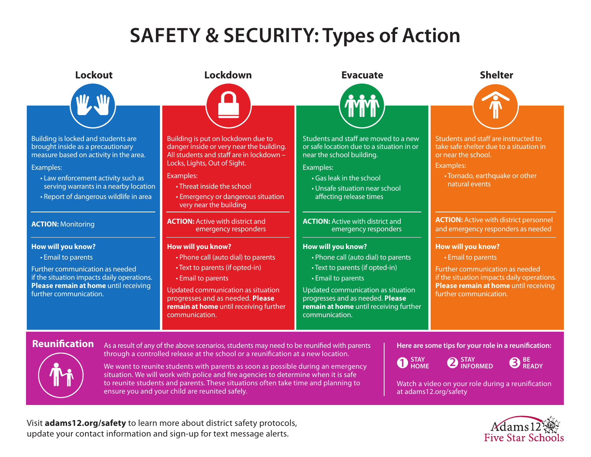## **SAFETY & SECURITY: Types of Action**



Visit **adams12.org/safety** to learn more about district safety protocols, update your contact information and sign-up for text message alerts.

# Five Star Schoo